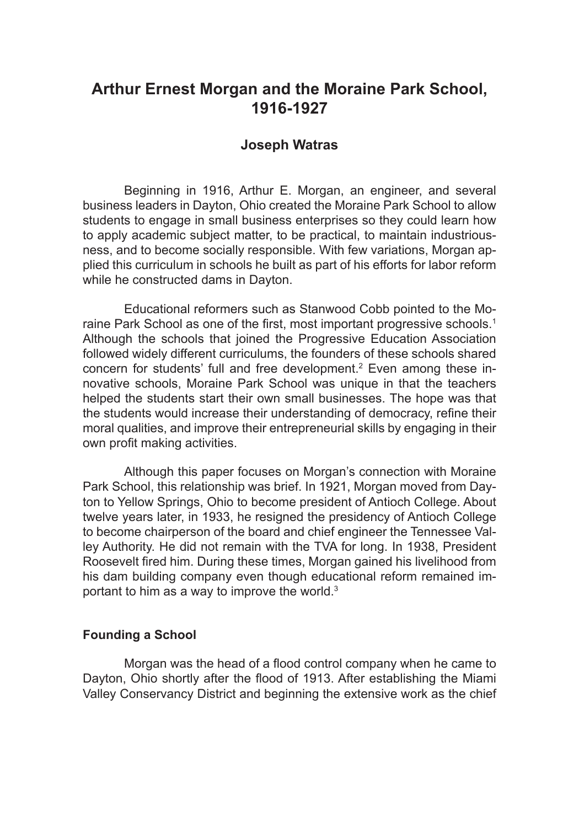# **Arthur Ernest Morgan and the Moraine Park School, 1916-1927**

## **Joseph Watras**

Beginning in 1916, Arthur E. Morgan, an engineer, and several business leaders in Dayton, Ohio created the Moraine Park School to allow students to engage in small business enterprises so they could learn how to apply academic subject matter, to be practical, to maintain industriousness, and to become socially responsible. With few variations, Morgan applied this curriculum in schools he built as part of his efforts for labor reform while he constructed dams in Dayton.

Educational reformers such as Stanwood Cobb pointed to the Moraine Park School as one of the first, most important progressive schools.<sup>1</sup> Although the schools that joined the Progressive Education Association followed widely different curriculums, the founders of these schools shared concern for students' full and free development.<sup>2</sup> Even among these innovative schools, Moraine Park School was unique in that the teachers helped the students start their own small businesses. The hope was that the students would increase their understanding of democracy, refine their moral qualities, and improve their entrepreneurial skills by engaging in their own profit making activities.

Although this paper focuses on Morgan's connection with Moraine Park School, this relationship was brief. In 1921, Morgan moved from Dayton to Yellow Springs, Ohio to become president of Antioch College. About twelve years later, in 1933, he resigned the presidency of Antioch College to become chairperson of the board and chief engineer the Tennessee Valley Authority. He did not remain with the TVA for long. In 1938, President Roosevelt fired him. During these times, Morgan gained his livelihood from his dam building company even though educational reform remained important to him as a way to improve the world. $3$ 

## **Founding a School**

Morgan was the head of a flood control company when he came to Dayton, Ohio shortly after the flood of 1913. After establishing the Miami Valley Conservancy District and beginning the extensive work as the chief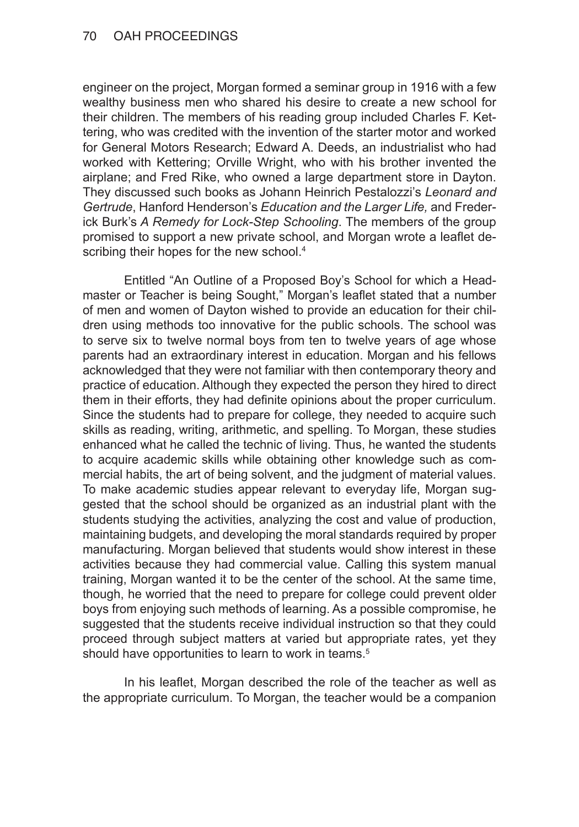engineer on the project, Morgan formed a seminar group in 1916 with a few wealthy business men who shared his desire to create a new school for their children. The members of his reading group included Charles F. Kettering, who was credited with the invention of the starter motor and worked for General Motors Research; Edward A. Deeds, an industrialist who had worked with Kettering; Orville Wright, who with his brother invented the airplane; and Fred Rike, who owned a large department store in Dayton. They discussed such books as Johann Heinrich Pestalozzi's *Leonard and Gertrude*, Hanford Henderson's *Education and the Larger Life,* and Frederick Burk's *A Remedy for Lock-Step Schooling*. The members of the group promised to support a new private school, and Morgan wrote a leaflet describing their hopes for the new school.<sup>4</sup>

Entitled "An Outline of a Proposed Boy's School for which a Headmaster or Teacher is being Sought," Morgan's leaflet stated that a number of men and women of Dayton wished to provide an education for their children using methods too innovative for the public schools. The school was to serve six to twelve normal boys from ten to twelve years of age whose parents had an extraordinary interest in education. Morgan and his fellows acknowledged that they were not familiar with then contemporary theory and practice of education. Although they expected the person they hired to direct them in their efforts, they had definite opinions about the proper curriculum. Since the students had to prepare for college, they needed to acquire such skills as reading, writing, arithmetic, and spelling. To Morgan, these studies enhanced what he called the technic of living. Thus, he wanted the students to acquire academic skills while obtaining other knowledge such as commercial habits, the art of being solvent, and the judgment of material values. To make academic studies appear relevant to everyday life, Morgan suggested that the school should be organized as an industrial plant with the students studying the activities, analyzing the cost and value of production, maintaining budgets, and developing the moral standards required by proper manufacturing. Morgan believed that students would show interest in these activities because they had commercial value. Calling this system manual training, Morgan wanted it to be the center of the school. At the same time, though, he worried that the need to prepare for college could prevent older boys from enjoying such methods of learning. As a possible compromise, he suggested that the students receive individual instruction so that they could proceed through subject matters at varied but appropriate rates, yet they should have opportunities to learn to work in teams.<sup>5</sup>

In his leaflet, Morgan described the role of the teacher as well as the appropriate curriculum. To Morgan, the teacher would be a companion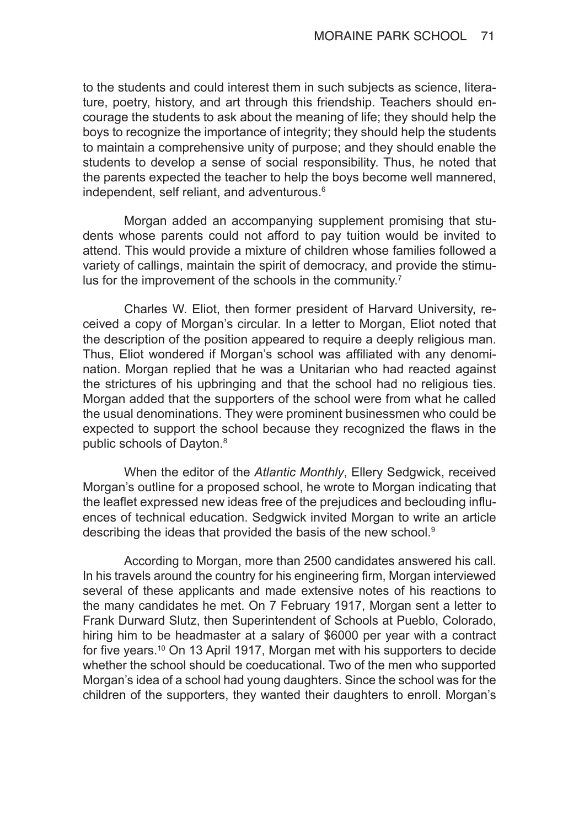to the students and could interest them in such subjects as science, literature, poetry, history, and art through this friendship. Teachers should encourage the students to ask about the meaning of life; they should help the boys to recognize the importance of integrity; they should help the students to maintain a comprehensive unity of purpose; and they should enable the students to develop a sense of social responsibility. Thus, he noted that the parents expected the teacher to help the boys become well mannered, independent, self reliant, and adventurous.<sup>6</sup>

Morgan added an accompanying supplement promising that students whose parents could not afford to pay tuition would be invited to attend. This would provide a mixture of children whose families followed a variety of callings, maintain the spirit of democracy, and provide the stimulus for the improvement of the schools in the community.<sup>7</sup>

Charles W. Eliot, then former president of Harvard University, received a copy of Morgan's circular. In a letter to Morgan, Eliot noted that the description of the position appeared to require a deeply religious man. Thus, Eliot wondered if Morgan's school was affiliated with any denomination. Morgan replied that he was a Unitarian who had reacted against the strictures of his upbringing and that the school had no religious ties. Morgan added that the supporters of the school were from what he called the usual denominations. They were prominent businessmen who could be expected to support the school because they recognized the flaws in the public schools of Dayton.<sup>8</sup>

When the editor of the *Atlantic Monthly*, Ellery Sedgwick, received Morgan's outline for a proposed school, he wrote to Morgan indicating that the leaflet expressed new ideas free of the prejudices and beclouding influences of technical education. Sedgwick invited Morgan to write an article describing the ideas that provided the basis of the new school.<sup>9</sup>

According to Morgan, more than 2500 candidates answered his call. In his travels around the country for his engineering firm, Morgan interviewed several of these applicants and made extensive notes of his reactions to the many candidates he met. On 7 February 1917, Morgan sent a letter to Frank Durward Slutz, then Superintendent of Schools at Pueblo, Colorado, hiring him to be headmaster at a salary of \$6000 per year with a contract for five years.10 On 13 April 1917, Morgan met with his supporters to decide whether the school should be coeducational. Two of the men who supported Morgan's idea of a school had young daughters. Since the school was for the children of the supporters, they wanted their daughters to enroll. Morgan's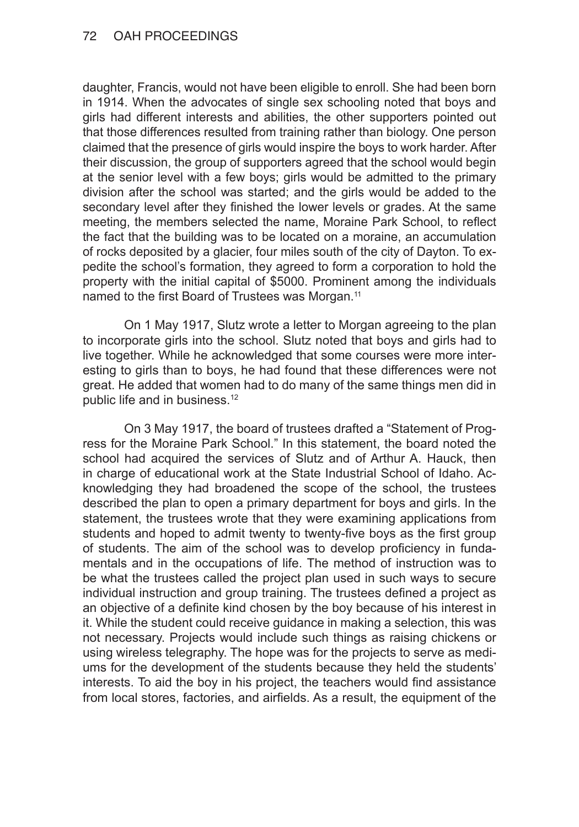daughter, Francis, would not have been eligible to enroll. She had been born in 1914. When the advocates of single sex schooling noted that boys and girls had different interests and abilities, the other supporters pointed out that those differences resulted from training rather than biology. One person claimed that the presence of girls would inspire the boys to work harder. After their discussion, the group of supporters agreed that the school would begin at the senior level with a few boys; girls would be admitted to the primary division after the school was started; and the girls would be added to the secondary level after they finished the lower levels or grades. At the same meeting, the members selected the name, Moraine Park School, to reflect the fact that the building was to be located on a moraine, an accumulation of rocks deposited by a glacier, four miles south of the city of Dayton. To expedite the school's formation, they agreed to form a corporation to hold the property with the initial capital of \$5000. Prominent among the individuals named to the first Board of Trustees was Morgan.<sup>11</sup>

On 1 May 1917, Slutz wrote a letter to Morgan agreeing to the plan to incorporate girls into the school. Slutz noted that boys and girls had to live together. While he acknowledged that some courses were more interesting to girls than to boys, he had found that these differences were not great. He added that women had to do many of the same things men did in public life and in business.<sup>12</sup>

On 3 May 1917, the board of trustees drafted a "Statement of Progress for the Moraine Park School." In this statement, the board noted the school had acquired the services of Slutz and of Arthur A. Hauck, then in charge of educational work at the State Industrial School of Idaho. Acknowledging they had broadened the scope of the school, the trustees described the plan to open a primary department for boys and girls. In the statement, the trustees wrote that they were examining applications from students and hoped to admit twenty to twenty-five boys as the first group of students. The aim of the school was to develop proficiency in fundamentals and in the occupations of life. The method of instruction was to be what the trustees called the project plan used in such ways to secure individual instruction and group training. The trustees defined a project as an objective of a definite kind chosen by the boy because of his interest in it. While the student could receive guidance in making a selection, this was not necessary. Projects would include such things as raising chickens or using wireless telegraphy. The hope was for the projects to serve as mediums for the development of the students because they held the students' interests. To aid the boy in his project, the teachers would find assistance from local stores, factories, and airfields. As a result, the equipment of the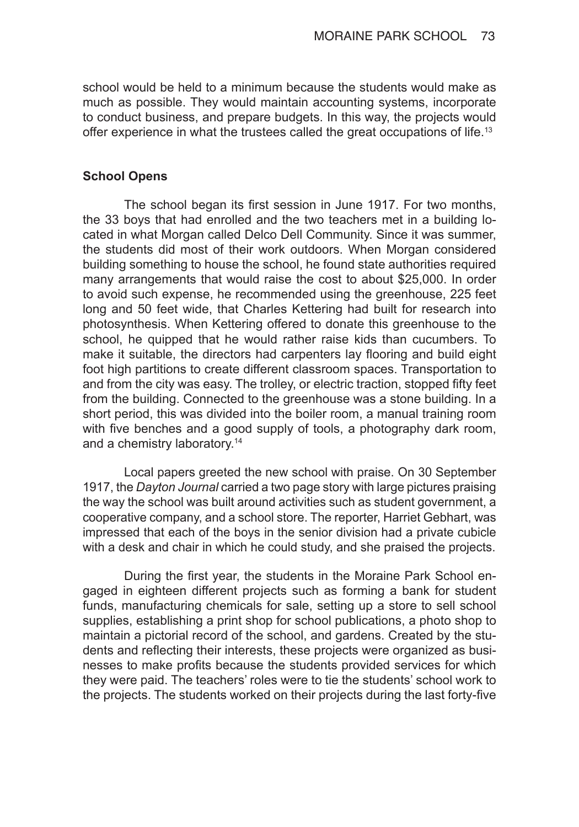school would be held to a minimum because the students would make as much as possible. They would maintain accounting systems, incorporate to conduct business, and prepare budgets. In this way, the projects would offer experience in what the trustees called the great occupations of life.<sup>13</sup>

## **School Opens**

The school began its first session in June 1917. For two months, the 33 boys that had enrolled and the two teachers met in a building located in what Morgan called Delco Dell Community. Since it was summer, the students did most of their work outdoors. When Morgan considered building something to house the school, he found state authorities required many arrangements that would raise the cost to about \$25,000. In order to avoid such expense, he recommended using the greenhouse, 225 feet long and 50 feet wide, that Charles Kettering had built for research into photosynthesis. When Kettering offered to donate this greenhouse to the school, he quipped that he would rather raise kids than cucumbers. To make it suitable, the directors had carpenters lay flooring and build eight foot high partitions to create different classroom spaces. Transportation to and from the city was easy. The trolley, or electric traction, stopped fifty feet from the building. Connected to the greenhouse was a stone building. In a short period, this was divided into the boiler room, a manual training room with five benches and a good supply of tools, a photography dark room, and a chemistry laboratory.14

Local papers greeted the new school with praise. On 30 September 1917, the *Dayton Journal* carried a two page story with large pictures praising the way the school was built around activities such as student government, a cooperative company, and a school store. The reporter, Harriet Gebhart, was impressed that each of the boys in the senior division had a private cubicle with a desk and chair in which he could study, and she praised the projects.

During the first year, the students in the Moraine Park School engaged in eighteen different projects such as forming a bank for student funds, manufacturing chemicals for sale, setting up a store to sell school supplies, establishing a print shop for school publications, a photo shop to maintain a pictorial record of the school, and gardens. Created by the students and reflecting their interests, these projects were organized as businesses to make profits because the students provided services for which they were paid. The teachers' roles were to tie the students' school work to the projects. The students worked on their projects during the last forty-five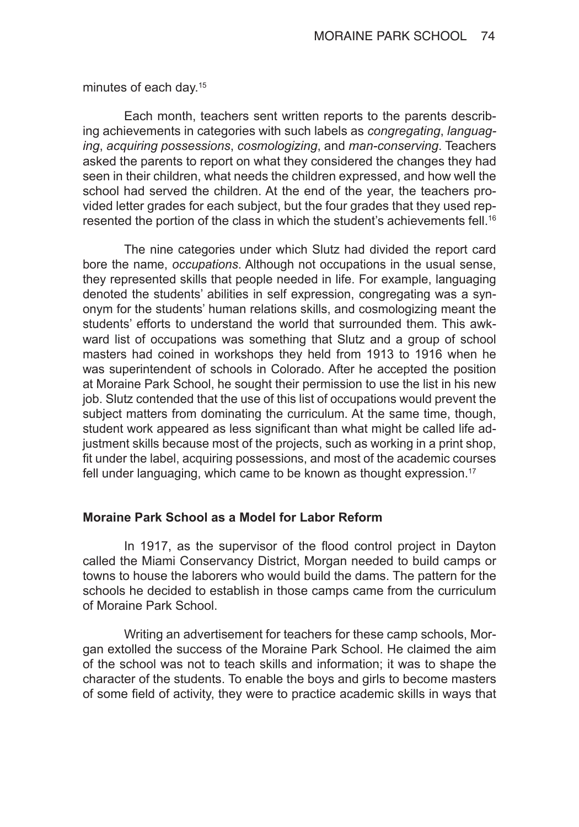minutes of each day.15

Each month, teachers sent written reports to the parents describing achievements in categories with such labels as *congregating*, *languag‑ ing*, *acquiring possessions*, *cosmologizing*, and *man-conserving*. Teachers asked the parents to report on what they considered the changes they had seen in their children, what needs the children expressed, and how well the school had served the children. At the end of the year, the teachers provided letter grades for each subject, but the four grades that they used represented the portion of the class in which the student's achievements fell.<sup>16</sup>

The nine categories under which Slutz had divided the report card bore the name, *occupations*. Although not occupations in the usual sense, they represented skills that people needed in life. For example, languaging denoted the students' abilities in self expression, congregating was a synonym for the students' human relations skills, and cosmologizing meant the students' efforts to understand the world that surrounded them. This awkward list of occupations was something that Slutz and a group of school masters had coined in workshops they held from 1913 to 1916 when he was superintendent of schools in Colorado. After he accepted the position at Moraine Park School, he sought their permission to use the list in his new job. Slutz contended that the use of this list of occupations would prevent the subject matters from dominating the curriculum. At the same time, though, student work appeared as less significant than what might be called life adjustment skills because most of the projects, such as working in a print shop, fit under the label, acquiring possessions, and most of the academic courses fell under languaging, which came to be known as thought expression.<sup>17</sup>

## **Moraine Park School as a Model for Labor Reform**

In 1917, as the supervisor of the flood control project in Dayton called the Miami Conservancy District, Morgan needed to build camps or towns to house the laborers who would build the dams. The pattern for the schools he decided to establish in those camps came from the curriculum of Moraine Park School.

Writing an advertisement for teachers for these camp schools, Morgan extolled the success of the Moraine Park School. He claimed the aim of the school was not to teach skills and information; it was to shape the character of the students. To enable the boys and girls to become masters of some field of activity, they were to practice academic skills in ways that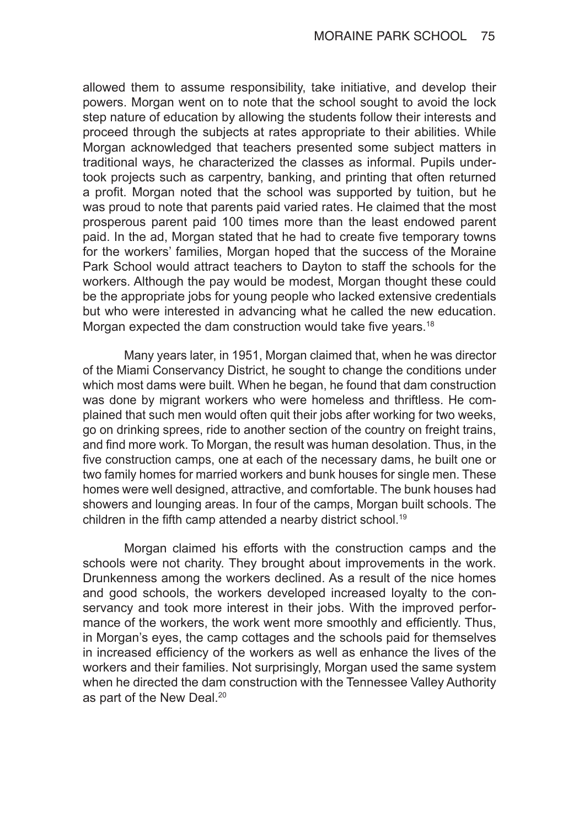allowed them to assume responsibility, take initiative, and develop their powers. Morgan went on to note that the school sought to avoid the lock step nature of education by allowing the students follow their interests and proceed through the subjects at rates appropriate to their abilities. While Morgan acknowledged that teachers presented some subject matters in traditional ways, he characterized the classes as informal. Pupils undertook projects such as carpentry, banking, and printing that often returned a profit. Morgan noted that the school was supported by tuition, but he was proud to note that parents paid varied rates. He claimed that the most prosperous parent paid 100 times more than the least endowed parent paid. In the ad, Morgan stated that he had to create five temporary towns for the workers' families, Morgan hoped that the success of the Moraine Park School would attract teachers to Dayton to staff the schools for the workers. Although the pay would be modest, Morgan thought these could be the appropriate jobs for young people who lacked extensive credentials but who were interested in advancing what he called the new education. Morgan expected the dam construction would take five years.<sup>18</sup>

Many years later, in 1951, Morgan claimed that, when he was director of the Miami Conservancy District, he sought to change the conditions under which most dams were built. When he began, he found that dam construction was done by migrant workers who were homeless and thriftless. He complained that such men would often quit their jobs after working for two weeks, go on drinking sprees, ride to another section of the country on freight trains, and find more work. To Morgan, the result was human desolation. Thus, in the five construction camps, one at each of the necessary dams, he built one or two family homes for married workers and bunk houses for single men. These homes were well designed, attractive, and comfortable. The bunk houses had showers and lounging areas. In four of the camps, Morgan built schools. The children in the fifth camp attended a nearby district school.<sup>19</sup>

Morgan claimed his efforts with the construction camps and the schools were not charity. They brought about improvements in the work. Drunkenness among the workers declined. As a result of the nice homes and good schools, the workers developed increased loyalty to the conservancy and took more interest in their jobs. With the improved performance of the workers, the work went more smoothly and efficiently. Thus, in Morgan's eyes, the camp cottages and the schools paid for themselves in increased efficiency of the workers as well as enhance the lives of the workers and their families. Not surprisingly, Morgan used the same system when he directed the dam construction with the Tennessee Valley Authority as part of the New Deal.<sup>20</sup>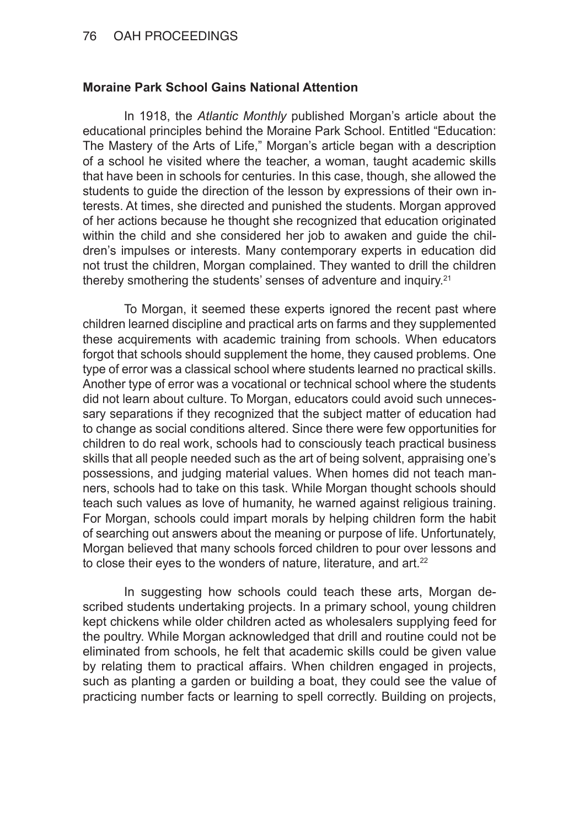# **Moraine Park School Gains National Attention**

In 1918, the *Atlantic Monthly* published Morgan's article about the educational principles behind the Moraine Park School. Entitled "Education: The Mastery of the Arts of Life," Morgan's article began with a description of a school he visited where the teacher, a woman, taught academic skills that have been in schools for centuries. In this case, though, she allowed the students to guide the direction of the lesson by expressions of their own interests. At times, she directed and punished the students. Morgan approved of her actions because he thought she recognized that education originated within the child and she considered her job to awaken and guide the children's impulses or interests. Many contemporary experts in education did not trust the children, Morgan complained. They wanted to drill the children thereby smothering the students' senses of adventure and inquiry.21

To Morgan, it seemed these experts ignored the recent past where children learned discipline and practical arts on farms and they supplemented these acquirements with academic training from schools. When educators forgot that schools should supplement the home, they caused problems. One type of error was a classical school where students learned no practical skills. Another type of error was a vocational or technical school where the students did not learn about culture. To Morgan, educators could avoid such unnecessary separations if they recognized that the subject matter of education had to change as social conditions altered. Since there were few opportunities for children to do real work, schools had to consciously teach practical business skills that all people needed such as the art of being solvent, appraising one's possessions, and judging material values. When homes did not teach manners, schools had to take on this task. While Morgan thought schools should teach such values as love of humanity, he warned against religious training. For Morgan, schools could impart morals by helping children form the habit of searching out answers about the meaning or purpose of life. Unfortunately, Morgan believed that many schools forced children to pour over lessons and to close their eyes to the wonders of nature, literature, and art.<sup>22</sup>

In suggesting how schools could teach these arts, Morgan described students undertaking projects. In a primary school, young children kept chickens while older children acted as wholesalers supplying feed for the poultry. While Morgan acknowledged that drill and routine could not be eliminated from schools, he felt that academic skills could be given value by relating them to practical affairs. When children engaged in projects, such as planting a garden or building a boat, they could see the value of practicing number facts or learning to spell correctly. Building on projects,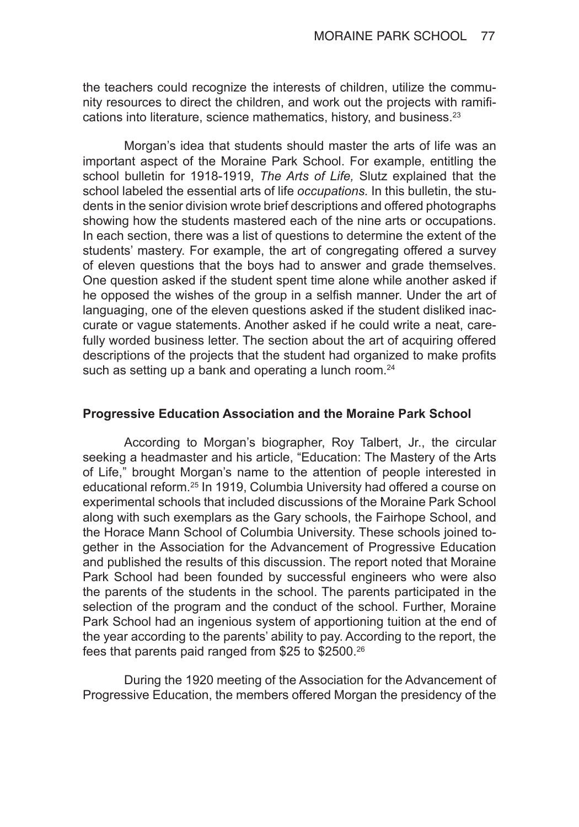the teachers could recognize the interests of children, utilize the community resources to direct the children, and work out the projects with ramifications into literature, science mathematics, history, and business.<sup>23</sup>

Morgan's idea that students should master the arts of life was an important aspect of the Moraine Park School. For example, entitling the school bulletin for 1918-1919, *The Arts of Life,* Slutz explained that the school labeled the essential arts of life *occupations.* In this bulletin, the students in the senior division wrote brief descriptions and offered photographs showing how the students mastered each of the nine arts or occupations. In each section, there was a list of questions to determine the extent of the students' mastery. For example, the art of congregating offered a survey of eleven questions that the boys had to answer and grade themselves. One question asked if the student spent time alone while another asked if he opposed the wishes of the group in a selfish manner. Under the art of languaging, one of the eleven questions asked if the student disliked inaccurate or vague statements. Another asked if he could write a neat, carefully worded business letter. The section about the art of acquiring offered descriptions of the projects that the student had organized to make profits such as setting up a bank and operating a lunch room.<sup>24</sup>

## **Progressive Education Association and the Moraine Park School**

According to Morgan's biographer, Roy Talbert, Jr., the circular seeking a headmaster and his article, "Education: The Mastery of the Arts of Life," brought Morgan's name to the attention of people interested in educational reform.25 In 1919, Columbia University had offered a course on experimental schools that included discussions of the Moraine Park School along with such exemplars as the Gary schools, the Fairhope School, and the Horace Mann School of Columbia University. These schools joined together in the Association for the Advancement of Progressive Education and published the results of this discussion. The report noted that Moraine Park School had been founded by successful engineers who were also the parents of the students in the school. The parents participated in the selection of the program and the conduct of the school. Further, Moraine Park School had an ingenious system of apportioning tuition at the end of the year according to the parents' ability to pay. According to the report, the fees that parents paid ranged from \$25 to \$2500.26

During the 1920 meeting of the Association for the Advancement of Progressive Education, the members offered Morgan the presidency of the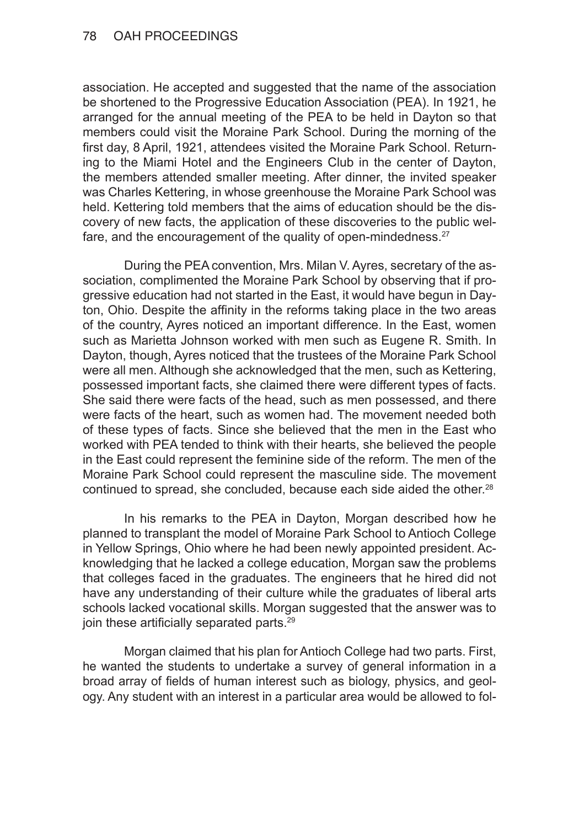association. He accepted and suggested that the name of the association be shortened to the Progressive Education Association (PEA). In 1921, he arranged for the annual meeting of the PEA to be held in Dayton so that members could visit the Moraine Park School. During the morning of the first day, 8 April, 1921, attendees visited the Moraine Park School. Returning to the Miami Hotel and the Engineers Club in the center of Dayton, the members attended smaller meeting. After dinner, the invited speaker was Charles Kettering, in whose greenhouse the Moraine Park School was held. Kettering told members that the aims of education should be the discovery of new facts, the application of these discoveries to the public welfare, and the encouragement of the quality of open-mindedness. $27$ 

During the PEA convention, Mrs. Milan V. Ayres, secretary of the association, complimented the Moraine Park School by observing that if progressive education had not started in the East, it would have begun in Dayton, Ohio. Despite the affinity in the reforms taking place in the two areas of the country, Ayres noticed an important difference. In the East, women such as Marietta Johnson worked with men such as Eugene R. Smith. In Dayton, though, Ayres noticed that the trustees of the Moraine Park School were all men. Although she acknowledged that the men, such as Kettering, possessed important facts, she claimed there were different types of facts. She said there were facts of the head, such as men possessed, and there were facts of the heart, such as women had. The movement needed both of these types of facts. Since she believed that the men in the East who worked with PEA tended to think with their hearts, she believed the people in the East could represent the feminine side of the reform. The men of the Moraine Park School could represent the masculine side. The movement continued to spread, she concluded, because each side aided the other.<sup>28</sup>

In his remarks to the PEA in Dayton, Morgan described how he planned to transplant the model of Moraine Park School to Antioch College in Yellow Springs, Ohio where he had been newly appointed president. Acknowledging that he lacked a college education, Morgan saw the problems that colleges faced in the graduates. The engineers that he hired did not have any understanding of their culture while the graduates of liberal arts schools lacked vocational skills. Morgan suggested that the answer was to join these artificially separated parts.<sup>29</sup>

Morgan claimed that his plan for Antioch College had two parts. First, he wanted the students to undertake a survey of general information in a broad array of fields of human interest such as biology, physics, and geology. Any student with an interest in a particular area would be allowed to fol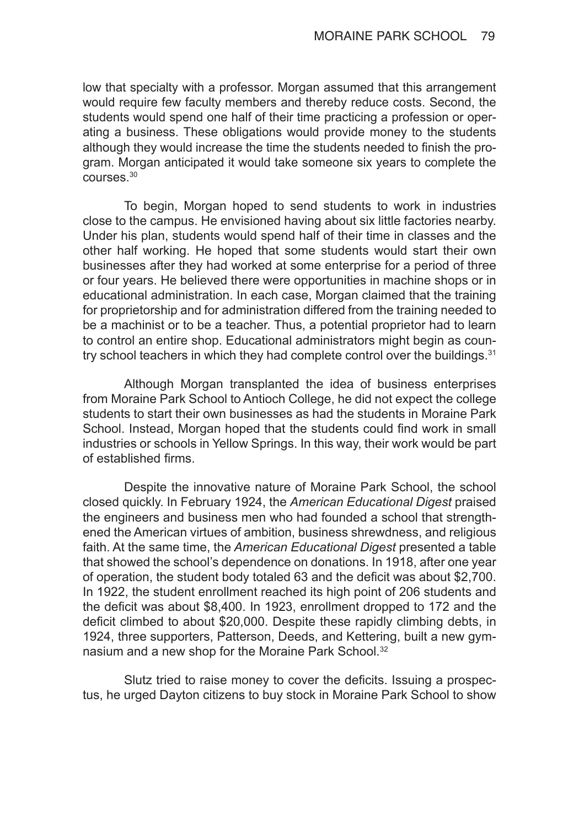low that specialty with a professor. Morgan assumed that this arrangement would require few faculty members and thereby reduce costs. Second, the students would spend one half of their time practicing a profession or operating a business. These obligations would provide money to the students although they would increase the time the students needed to finish the program. Morgan anticipated it would take someone six years to complete the courses.30

To begin, Morgan hoped to send students to work in industries close to the campus. He envisioned having about six little factories nearby. Under his plan, students would spend half of their time in classes and the other half working. He hoped that some students would start their own businesses after they had worked at some enterprise for a period of three or four years. He believed there were opportunities in machine shops or in educational administration. In each case, Morgan claimed that the training for proprietorship and for administration differed from the training needed to be a machinist or to be a teacher. Thus, a potential proprietor had to learn to control an entire shop. Educational administrators might begin as country school teachers in which they had complete control over the buildings. $31$ 

Although Morgan transplanted the idea of business enterprises from Moraine Park School to Antioch College, he did not expect the college students to start their own businesses as had the students in Moraine Park School. Instead, Morgan hoped that the students could find work in small industries or schools in Yellow Springs. In this way, their work would be part of established firms.

Despite the innovative nature of Moraine Park School, the school closed quickly. In February 1924, the *American Educational Digest* praised the engineers and business men who had founded a school that strengthened the American virtues of ambition, business shrewdness, and religious faith. At the same time, the *American Educational Digest* presented a table that showed the school's dependence on donations. In 1918, after one year of operation, the student body totaled 63 and the deficit was about \$2,700. In 1922, the student enrollment reached its high point of 206 students and the deficit was about \$8,400. In 1923, enrollment dropped to 172 and the deficit climbed to about \$20,000. Despite these rapidly climbing debts, in 1924, three supporters, Patterson, Deeds, and Kettering, built a new gymnasium and a new shop for the Moraine Park School.<sup>32</sup>

Slutz tried to raise money to cover the deficits. Issuing a prospectus, he urged Dayton citizens to buy stock in Moraine Park School to show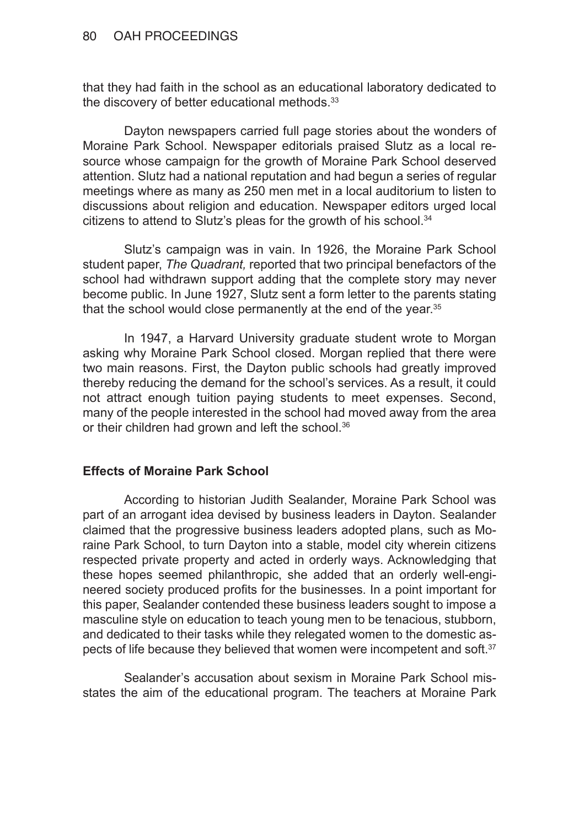that they had faith in the school as an educational laboratory dedicated to the discovery of better educational methods.<sup>33</sup>

Dayton newspapers carried full page stories about the wonders of Moraine Park School. Newspaper editorials praised Slutz as a local resource whose campaign for the growth of Moraine Park School deserved attention. Slutz had a national reputation and had begun a series of regular meetings where as many as 250 men met in a local auditorium to listen to discussions about religion and education. Newspaper editors urged local citizens to attend to Slutz's pleas for the growth of his school.<sup>34</sup>

Slutz's campaign was in vain. In 1926, the Moraine Park School student paper, *The Quadrant,* reported that two principal benefactors of the school had withdrawn support adding that the complete story may never become public. In June 1927, Slutz sent a form letter to the parents stating that the school would close permanently at the end of the year.<sup>35</sup>

In 1947, a Harvard University graduate student wrote to Morgan asking why Moraine Park School closed. Morgan replied that there were two main reasons. First, the Dayton public schools had greatly improved thereby reducing the demand for the school's services. As a result, it could not attract enough tuition paying students to meet expenses. Second, many of the people interested in the school had moved away from the area or their children had grown and left the school.<sup>36</sup>

# **Effects of Moraine Park School**

According to historian Judith Sealander, Moraine Park School was part of an arrogant idea devised by business leaders in Dayton. Sealander claimed that the progressive business leaders adopted plans, such as Moraine Park School, to turn Dayton into a stable, model city wherein citizens respected private property and acted in orderly ways. Acknowledging that these hopes seemed philanthropic, she added that an orderly well-engineered society produced profits for the businesses. In a point important for this paper, Sealander contended these business leaders sought to impose a masculine style on education to teach young men to be tenacious, stubborn, and dedicated to their tasks while they relegated women to the domestic aspects of life because they believed that women were incompetent and soft.<sup>37</sup>

Sealander's accusation about sexism in Moraine Park School misstates the aim of the educational program. The teachers at Moraine Park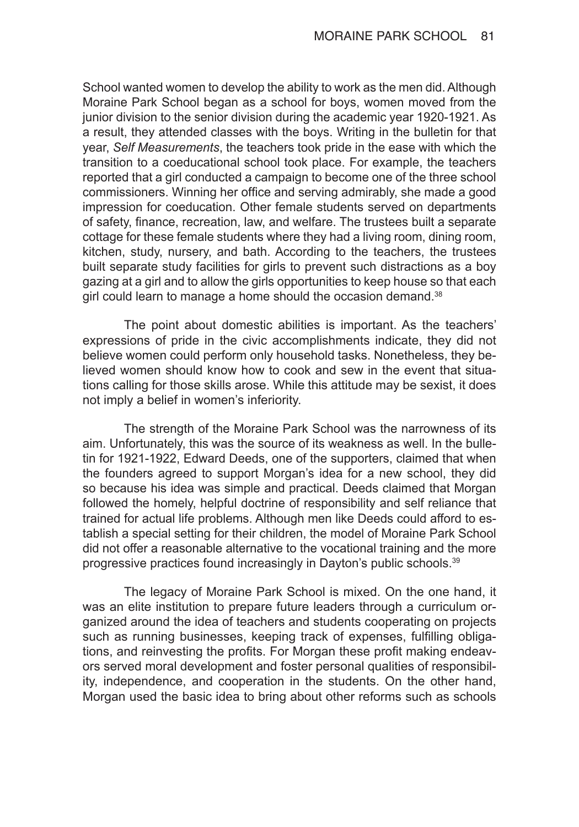School wanted women to develop the ability to work as the men did. Although Moraine Park School began as a school for boys, women moved from the junior division to the senior division during the academic year 1920-1921. As a result, they attended classes with the boys. Writing in the bulletin for that year, *Self Measurements*, the teachers took pride in the ease with which the transition to a coeducational school took place. For example, the teachers reported that a girl conducted a campaign to become one of the three school commissioners. Winning her office and serving admirably, she made a good impression for coeducation. Other female students served on departments of safety, finance, recreation, law, and welfare. The trustees built a separate cottage for these female students where they had a living room, dining room, kitchen, study, nursery, and bath. According to the teachers, the trustees built separate study facilities for girls to prevent such distractions as a boy gazing at a girl and to allow the girls opportunities to keep house so that each girl could learn to manage a home should the occasion demand.<sup>38</sup>

The point about domestic abilities is important. As the teachers' expressions of pride in the civic accomplishments indicate, they did not believe women could perform only household tasks. Nonetheless, they believed women should know how to cook and sew in the event that situations calling for those skills arose. While this attitude may be sexist, it does not imply a belief in women's inferiority.

The strength of the Moraine Park School was the narrowness of its aim. Unfortunately, this was the source of its weakness as well. In the bulletin for 1921-1922, Edward Deeds, one of the supporters, claimed that when the founders agreed to support Morgan's idea for a new school, they did so because his idea was simple and practical. Deeds claimed that Morgan followed the homely, helpful doctrine of responsibility and self reliance that trained for actual life problems. Although men like Deeds could afford to establish a special setting for their children, the model of Moraine Park School did not offer a reasonable alternative to the vocational training and the more progressive practices found increasingly in Dayton's public schools.39

The legacy of Moraine Park School is mixed. On the one hand, it was an elite institution to prepare future leaders through a curriculum organized around the idea of teachers and students cooperating on projects such as running businesses, keeping track of expenses, fulfilling obligations, and reinvesting the profits. For Morgan these profit making endeavors served moral development and foster personal qualities of responsibility, independence, and cooperation in the students. On the other hand, Morgan used the basic idea to bring about other reforms such as schools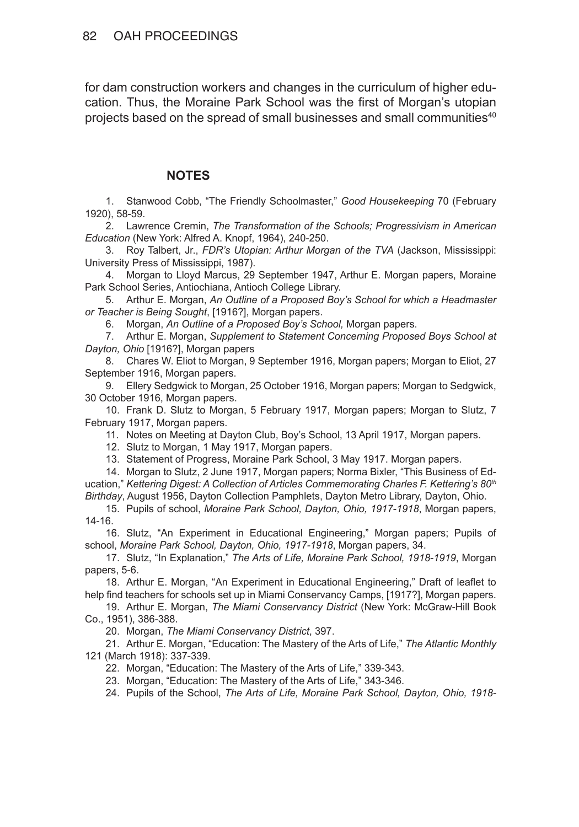for dam construction workers and changes in the curriculum of higher education. Thus, the Moraine Park School was the first of Morgan's utopian projects based on the spread of small businesses and small communities<sup>40</sup>

## **NOTES**

1. Stanwood Cobb, "The Friendly Schoolmaster," *Good Housekeeping* 70 (February 1920), 58-59.

2. Lawrence Cremin, *The Transformation of the Schools; Progressivism in American Education* (New York: Alfred A. Knopf, 1964), 240-250.

3. Roy Talbert, Jr., *FDR's Utopian: Arthur Morgan of the TVA* (Jackson, Mississippi: University Press of Mississippi, 1987).

4. Morgan to Lloyd Marcus, 29 September 1947, Arthur E. Morgan papers, Moraine Park School Series, Antiochiana, Antioch College Library.

5. Arthur E. Morgan, *An Outline of a Proposed Boy's School for which a Headmaster or Teacher is Being Sought*, [1916?], Morgan papers.

6. Morgan, *An Outline of a Proposed Boy's School,* Morgan papers.

7. Arthur E. Morgan, *Supplement to Statement Concerning Proposed Boys School at Dayton, Ohio* [1916?], Morgan papers

8. Chares W. Eliot to Morgan, 9 September 1916, Morgan papers; Morgan to Eliot, 27 September 1916, Morgan papers.

9. Ellery Sedgwick to Morgan, 25 October 1916, Morgan papers; Morgan to Sedgwick, 30 October 1916, Morgan papers.

10. Frank D. Slutz to Morgan, 5 February 1917, Morgan papers; Morgan to Slutz, 7 February 1917, Morgan papers.

11. Notes on Meeting at Dayton Club, Boy's School, 13 April 1917, Morgan papers.

- 12. Slutz to Morgan, 1 May 1917, Morgan papers.
- 13. Statement of Progress, Moraine Park School, 3 May 1917. Morgan papers.

14. Morgan to Slutz, 2 June 1917, Morgan papers; Norma Bixler, "This Business of Education," *Kettering Digest: A Collection of Articles Commemorating Charles F. Kettering's 80th Birthday*, August 1956, Dayton Collection Pamphlets, Dayton Metro Library, Dayton, Ohio.

15. Pupils of school, *Moraine Park School, Dayton, Ohio, 1917-1918*, Morgan papers, 14-16.

16. Slutz, "An Experiment in Educational Engineering," Morgan papers; Pupils of school, *Moraine Park School, Dayton, Ohio, 1917-1918*, Morgan papers, 34.

17. Slutz, "In Explanation," *The Arts of Life, Moraine Park School, 1918-1919*, Morgan papers, 5-6.

18. Arthur E. Morgan, "An Experiment in Educational Engineering," Draft of leaflet to help find teachers for schools set up in Miami Conservancy Camps, [1917?], Morgan papers.

19. Arthur E. Morgan, *The Miami Conservancy District* (New York: McGraw-Hill Book Co., 1951), 386-388.

20. Morgan, *The Miami Conservancy District*, 397.

21. Arthur E. Morgan, "Education: The Mastery of the Arts of Life," *The Atlantic Monthly* 121 (March 1918): 337-339.

22. Morgan, "Education: The Mastery of the Arts of Life," 339-343.

23. Morgan, "Education: The Mastery of the Arts of Life," 343-346.

24. Pupils of the School, *The Arts of Life, Moraine Park School, Dayton, Ohio, 1918-*